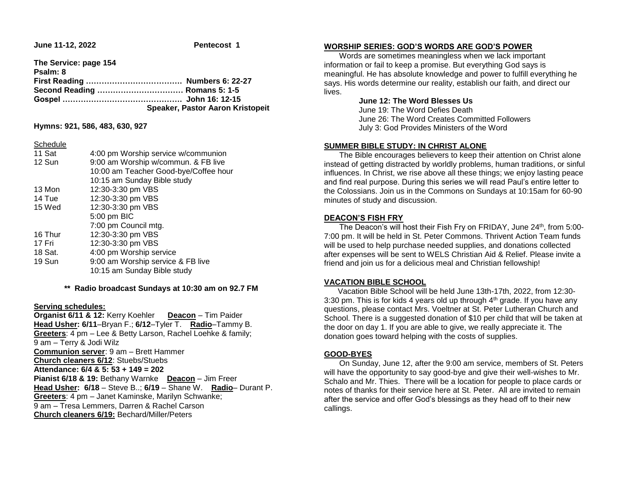**June 11-12, 2022 Pentecost 1** 

**The Service: page 154 Psalm: 8 First Reading ………………………………. Numbers 6: 22-27 Second Reading …………………………… Romans 5: 1-5 Gospel ………………………………………. John 16: 12-15 Speaker, Pastor Aaron Kristopeit**

**Hymns: 921, 586, 483, 630, 927**

#### **Schedule**

| 11 Sat  | 4:00 pm Worship service w/communion   |  |  |
|---------|---------------------------------------|--|--|
| 12 Sun  | 9:00 am Worship w/commun. & FB live   |  |  |
|         | 10:00 am Teacher Good-bye/Coffee hour |  |  |
|         | 10:15 am Sunday Bible study           |  |  |
| 13 Mon  | 12:30-3:30 pm VBS                     |  |  |
| 14 Tue  | 12:30-3:30 pm VBS                     |  |  |
| 15 Wed  | 12:30-3:30 pm VBS                     |  |  |
|         | 5:00 pm BIC                           |  |  |
|         | 7:00 pm Council mtg.                  |  |  |
| 16 Thur | 12:30-3:30 pm VBS                     |  |  |
| 17 Fri  | 12:30-3:30 pm VBS                     |  |  |
| 18 Sat. | 4:00 pm Worship service               |  |  |
| 19 Sun  | 9:00 am Worship service & FB live     |  |  |
|         | 10:15 am Sunday Bible study           |  |  |
|         |                                       |  |  |

### **\*\* Radio broadcast Sundays at 10:30 am on 92.7 FM**

### **Serving schedules:**

**Organist 6/11 & 12:** Kerry Koehler **Deacon** – Tim Paider **Head Usher: 6/11**–Bryan F.; **6/12**–Tyler T. **Radio**–Tammy B. **Greeters**: 4 pm – Lee & Betty Larson, Rachel Loehke & family; 9 am – Terry & Jodi Wilz **Communion server**: 9 am – Brett Hammer **Church cleaners 6/12**: Stuebs/Stuebs **Attendance: 6/4 & 5: 53 + 149 = 202 Pianist 6/18 & 19:** Bethany Warnke **Deacon** – Jim Freer **Head Usher: 6/18** – Steve B..; **6/19** – Shane W. **Radio**– Durant P. **Greeters**: 4 pm – Janet Kaminske, Marilyn Schwanke; 9 am – Tresa Lemmers, Darren & Rachel Carson **Church cleaners 6/19:** Bechard/Miller/Peters

## **WORSHIP SERIES: GOD'S WORDS ARE GOD'S POWER**

 Words are sometimes meaningless when we lack important information or fail to keep a promise. But everything God says is meaningful. He has absolute knowledge and power to fulfill everything he says. His words determine our reality, establish our faith, and direct our lives.

## **June 12: The Word Blesses Us**

 June 19: The Word Defies Death June 26: The Word Creates Committed Followers July 3: God Provides Ministers of the Word

## **SUMMER BIBLE STUDY: IN CHRIST ALONE**

 The Bible encourages believers to keep their attention on Christ alone instead of getting distracted by worldly problems, human traditions, or sinful influences. In Christ, we rise above all these things; we enjoy lasting peace and find real purpose. During this series we will read Paul's entire letter to the Colossians. Join us in the Commons on Sundays at 10:15am for 60-90 minutes of study and discussion.

## **DEACON'S FISH FRY**

The Deacon's will host their Fish Fry on FRIDAY, June 24<sup>th</sup>, from 5:00-7:00 pm. It will be held in St. Peter Commons. Thrivent Action Team funds will be used to help purchase needed supplies, and donations collected after expenses will be sent to WELS Christian Aid & Relief. Please invite a friend and join us for a delicious meal and Christian fellowship!

## **VACATION BIBLE SCHOOL**

 Vacation Bible School will be held June 13th-17th, 2022, from 12:30- 3:30 pm. This is for kids 4 years old up through  $4<sup>th</sup>$  grade. If you have any questions, please contact Mrs. Voeltner at St. Peter Lutheran Church and School. There is a suggested donation of \$10 per child that will be taken at the door on day 1. If you are able to give, we really appreciate it. The donation goes toward helping with the costs of supplies.

## **GOOD-BYES**

 On Sunday, June 12, after the 9:00 am service, members of St. Peters will have the opportunity to say good-bye and give their well-wishes to Mr. Schalo and Mr. Thies. There will be a location for people to place cards or notes of thanks for their service here at St. Peter. All are invited to remain after the service and offer God's blessings as they head off to their new callings.